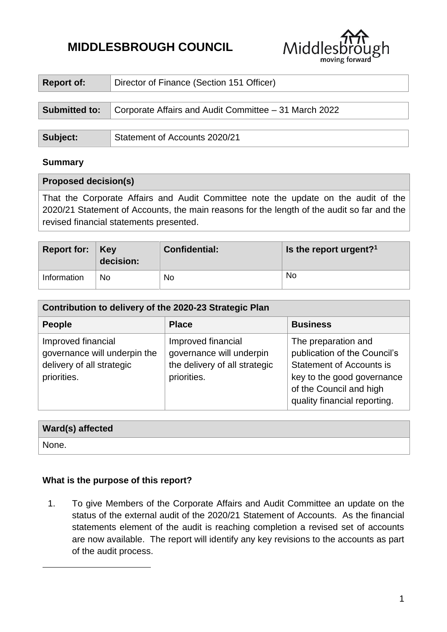# **MIDDLESBROUGH COUNCIL**



| <b>Report of:</b>    | Director of Finance (Section 151 Officer)             |  |  |
|----------------------|-------------------------------------------------------|--|--|
|                      |                                                       |  |  |
| <b>Submitted to:</b> | Corporate Affairs and Audit Committee - 31 March 2022 |  |  |
|                      |                                                       |  |  |
| Subject:             | Statement of Accounts 2020/21                         |  |  |

## **Summary**

#### **Proposed decision(s)**

That the Corporate Affairs and Audit Committee note the update on the audit of the 2020/21 Statement of Accounts, the main reasons for the length of the audit so far and the revised financial statements presented.

| Report for: $Key$ | decision: | <b>Confidential:</b> | Is the report urgent? <sup>1</sup> |
|-------------------|-----------|----------------------|------------------------------------|
| Information       | No        | No                   | <b>No</b>                          |

| Contribution to delivery of the 2020-23 Strategic Plan                                         |                                                                                                |                                                                                                                                                                                 |  |  |  |
|------------------------------------------------------------------------------------------------|------------------------------------------------------------------------------------------------|---------------------------------------------------------------------------------------------------------------------------------------------------------------------------------|--|--|--|
| <b>People</b>                                                                                  | <b>Place</b>                                                                                   | <b>Business</b>                                                                                                                                                                 |  |  |  |
| Improved financial<br>governance will underpin the<br>delivery of all strategic<br>priorities. | Improved financial<br>governance will underpin<br>the delivery of all strategic<br>priorities. | The preparation and<br>publication of the Council's<br><b>Statement of Accounts is</b><br>key to the good governance<br>of the Council and high<br>quality financial reporting. |  |  |  |

## **Ward(s) affected**

None.

1

# **What is the purpose of this report?**

1. To give Members of the Corporate Affairs and Audit Committee an update on the status of the external audit of the 2020/21 Statement of Accounts. As the financial statements element of the audit is reaching completion a revised set of accounts are now available. The report will identify any key revisions to the accounts as part of the audit process.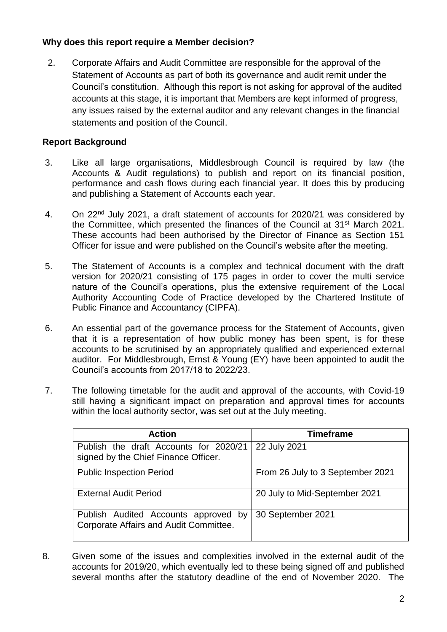# **Why does this report require a Member decision?**

2. Corporate Affairs and Audit Committee are responsible for the approval of the Statement of Accounts as part of both its governance and audit remit under the Council's constitution. Although this report is not asking for approval of the audited accounts at this stage, it is important that Members are kept informed of progress, any issues raised by the external auditor and any relevant changes in the financial statements and position of the Council.

# **Report Background**

- 3. Like all large organisations, Middlesbrough Council is required by law (the Accounts & Audit regulations) to publish and report on its financial position, performance and cash flows during each financial year. It does this by producing and publishing a Statement of Accounts each year.
- 4. On 22<sup>nd</sup> July 2021, a draft statement of accounts for 2020/21 was considered by the Committee, which presented the finances of the Council at 31<sup>st</sup> March 2021. These accounts had been authorised by the Director of Finance as Section 151 Officer for issue and were published on the Council's website after the meeting.
- 5. The Statement of Accounts is a complex and technical document with the draft version for 2020/21 consisting of 175 pages in order to cover the multi service nature of the Council's operations, plus the extensive requirement of the Local Authority Accounting Code of Practice developed by the Chartered Institute of Public Finance and Accountancy (CIPFA).
- 6. An essential part of the governance process for the Statement of Accounts, given that it is a representation of how public money has been spent, is for these accounts to be scrutinised by an appropriately qualified and experienced external auditor. For Middlesbrough, Ernst & Young (EY) have been appointed to audit the Council's accounts from 2017/18 to 2022/23.
- 7. The following timetable for the audit and approval of the accounts, with Covid-19 still having a significant impact on preparation and approval times for accounts within the local authority sector, was set out at the July meeting.

| <b>Action</b>                                                                  | <b>Timeframe</b>                 |
|--------------------------------------------------------------------------------|----------------------------------|
| Publish the draft Accounts for 2020/21<br>signed by the Chief Finance Officer. | 22 July 2021                     |
| <b>Public Inspection Period</b>                                                | From 26 July to 3 September 2021 |
| <b>External Audit Period</b>                                                   | 20 July to Mid-September 2021    |
| Publish Audited Accounts approved by<br>Corporate Affairs and Audit Committee. | 30 September 2021                |

8. Given some of the issues and complexities involved in the external audit of the accounts for 2019/20, which eventually led to these being signed off and published several months after the statutory deadline of the end of November 2020. The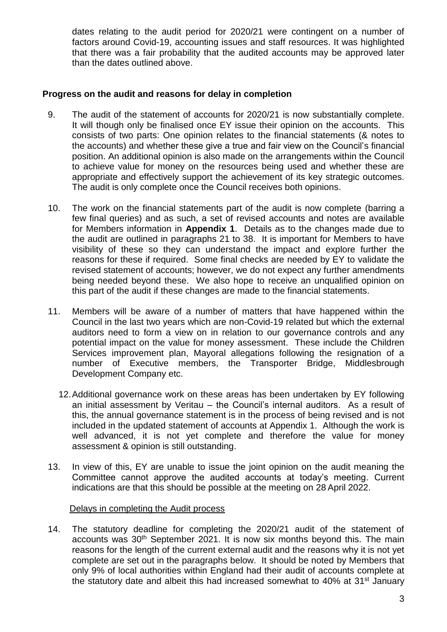dates relating to the audit period for 2020/21 were contingent on a number of factors around Covid-19, accounting issues and staff resources. It was highlighted that there was a fair probability that the audited accounts may be approved later than the dates outlined above.

## **Progress on the audit and reasons for delay in completion**

- 9. The audit of the statement of accounts for 2020/21 is now substantially complete. It will though only be finalised once EY issue their opinion on the accounts. This consists of two parts: One opinion relates to the financial statements (& notes to the accounts) and whether these give a true and fair view on the Council's financial position. An additional opinion is also made on the arrangements within the Council to achieve value for money on the resources being used and whether these are appropriate and effectively support the achievement of its key strategic outcomes. The audit is only complete once the Council receives both opinions.
- 10. The work on the financial statements part of the audit is now complete (barring a few final queries) and as such, a set of revised accounts and notes are available for Members information in **Appendix 1**. Details as to the changes made due to the audit are outlined in paragraphs 21 to 38. It is important for Members to have visibility of these so they can understand the impact and explore further the reasons for these if required. Some final checks are needed by EY to validate the revised statement of accounts; however, we do not expect any further amendments being needed beyond these. We also hope to receive an unqualified opinion on this part of the audit if these changes are made to the financial statements.
- 11. Members will be aware of a number of matters that have happened within the Council in the last two years which are non-Covid-19 related but which the external auditors need to form a view on in relation to our governance controls and any potential impact on the value for money assessment. These include the Children Services improvement plan, Mayoral allegations following the resignation of a number of Executive members, the Transporter Bridge, Middlesbrough Development Company etc.
	- 12.Additional governance work on these areas has been undertaken by EY following an initial assessment by Veritau – the Council's internal auditors. As a result of this, the annual governance statement is in the process of being revised and is not included in the updated statement of accounts at Appendix 1. Although the work is well advanced, it is not yet complete and therefore the value for money assessment & opinion is still outstanding.
- 13. In view of this, EY are unable to issue the joint opinion on the audit meaning the Committee cannot approve the audited accounts at today's meeting. Current indications are that this should be possible at the meeting on 28 April 2022.

## Delays in completing the Audit process

14. The statutory deadline for completing the 2020/21 audit of the statement of accounts was 30<sup>th</sup> September 2021. It is now six months beyond this. The main reasons for the length of the current external audit and the reasons why it is not yet complete are set out in the paragraphs below. It should be noted by Members that only 9% of local authorities within England had their audit of accounts complete at the statutory date and albeit this had increased somewhat to 40% at 31<sup>st</sup> January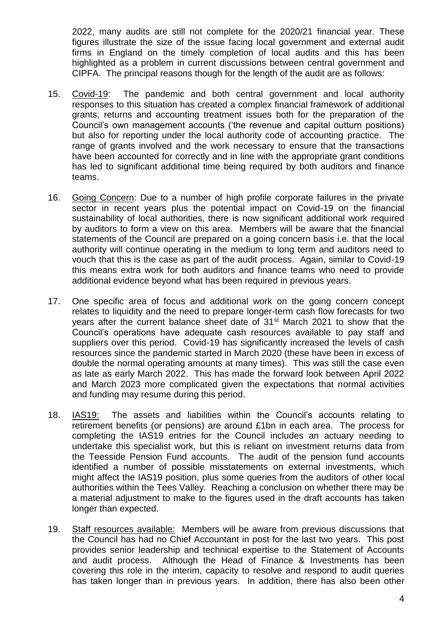2022, many audits are still not complete for the 2020/21 financial year. These figures illustrate the size of the issue facing local government and external audit firms in England on the timely completion of local audits and this has been highlighted as a problem in current discussions between central government and CIPFA. The principal reasons though for the length of the audit are as follows:

- 15. Covid-19: The pandemic and both central government and local authority responses to this situation has created a complex financial framework of additional grants, returns and accounting treatment issues both for the preparation of the Council's own management accounts ('the revenue and capital outturn positions) but also for reporting under the local authority code of accounting practice. The range of grants involved and the work necessary to ensure that the transactions have been accounted for correctly and in line with the appropriate grant conditions has led to significant additional time being required by both auditors and finance teams.
- 16. Going Concern: Due to a number of high profile corporate failures in the private sector in recent years plus the potential impact on Covid-19 on the financial sustainability of local authorities, there is now significant additional work required by auditors to form a view on this area. Members will be aware that the financial statements of the Council are prepared on a going concern basis i.e. that the local authority will continue operating in the medium to long term and auditors need to vouch that this is the case as part of the audit process. Again, similar to Covid-19 this means extra work for both auditors and finance teams who need to provide additional evidence beyond what has been required in previous years.
- 17. One specific area of focus and additional work on the going concern concept relates to liquidity and the need to prepare longer-term cash flow forecasts for two years after the current balance sheet date of 31<sup>st</sup> March 2021 to show that the Council's operations have adequate cash resources available to pay staff and suppliers over this period. Covid-19 has significantly increased the levels of cash resources since the pandemic started in March 2020 (these have been in excess of double the normal operating amounts at many times). This was still the case even as late as early March 2022. This has made the forward look between April 2022 and March 2023 more complicated given the expectations that normal activities and funding may resume during this period.
- 18. IAS19: The assets and liabilities within the Council's accounts relating to retirement benefits (or pensions) are around £1bn in each area. The process for completing the IAS19 entries for the Council includes an actuary needing to undertake this specialist work, but this is reliant on investment returns data from the Teesside Pension Fund accounts. The audit of the pension fund accounts identified a number of possible misstatements on external investments, which might affect the IAS19 position, plus some queries from the auditors of other local authorities within the Tees Valley. Reaching a conclusion on whether there may be a material adjustment to make to the figures used in the draft accounts has taken longer than expected.
- 19. Staff resources available: Members will be aware from previous discussions that the Council has had no Chief Accountant in post for the last two years. This post provides senior leadership and technical expertise to the Statement of Accounts and audit process. Although the Head of Finance & Investments has been covering this role in the interim, capacity to resolve and respond to audit queries has taken longer than in previous years. In addition, there has also been other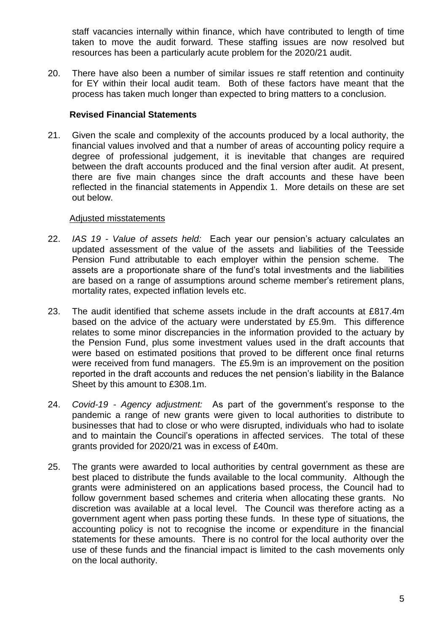staff vacancies internally within finance, which have contributed to length of time taken to move the audit forward. These staffing issues are now resolved but resources has been a particularly acute problem for the 2020/21 audit.

20. There have also been a number of similar issues re staff retention and continuity for EY within their local audit team. Both of these factors have meant that the process has taken much longer than expected to bring matters to a conclusion.

## **Revised Financial Statements**

21. Given the scale and complexity of the accounts produced by a local authority, the financial values involved and that a number of areas of accounting policy require a degree of professional judgement, it is inevitable that changes are required between the draft accounts produced and the final version after audit. At present, there are five main changes since the draft accounts and these have been reflected in the financial statements in Appendix 1. More details on these are set out below.

#### Adjusted misstatements

- 22. *IAS 19 - Value of assets held:* Each year our pension's actuary calculates an updated assessment of the value of the assets and liabilities of the Teesside Pension Fund attributable to each employer within the pension scheme. The assets are a proportionate share of the fund's total investments and the liabilities are based on a range of assumptions around scheme member's retirement plans, mortality rates, expected inflation levels etc.
- 23. The audit identified that scheme assets include in the draft accounts at £817.4m based on the advice of the actuary were understated by £5.9m. This difference relates to some minor discrepancies in the information provided to the actuary by the Pension Fund, plus some investment values used in the draft accounts that were based on estimated positions that proved to be different once final returns were received from fund managers. The £5.9m is an improvement on the position reported in the draft accounts and reduces the net pension's liability in the Balance Sheet by this amount to £308.1m.
- 24. *Covid-19 - Agency adjustment:* As part of the government's response to the pandemic a range of new grants were given to local authorities to distribute to businesses that had to close or who were disrupted, individuals who had to isolate and to maintain the Council's operations in affected services. The total of these grants provided for 2020/21 was in excess of £40m.
- 25. The grants were awarded to local authorities by central government as these are best placed to distribute the funds available to the local community. Although the grants were administered on an applications based process, the Council had to follow government based schemes and criteria when allocating these grants. No discretion was available at a local level. The Council was therefore acting as a government agent when pass porting these funds. In these type of situations, the accounting policy is not to recognise the income or expenditure in the financial statements for these amounts. There is no control for the local authority over the use of these funds and the financial impact is limited to the cash movements only on the local authority.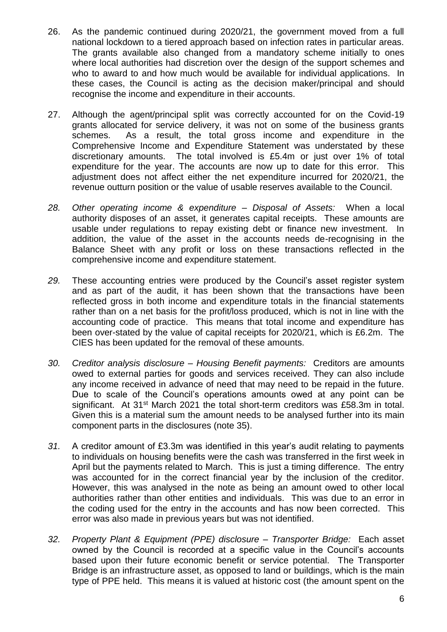- 26. As the pandemic continued during 2020/21, the government moved from a full national lockdown to a tiered approach based on infection rates in particular areas. The grants available also changed from a mandatory scheme initially to ones where local authorities had discretion over the design of the support schemes and who to award to and how much would be available for individual applications. In these cases, the Council is acting as the decision maker/principal and should recognise the income and expenditure in their accounts.
- 27. Although the agent/principal split was correctly accounted for on the Covid-19 grants allocated for service delivery, it was not on some of the business grants schemes. As a result, the total gross income and expenditure in the Comprehensive Income and Expenditure Statement was understated by these discretionary amounts. The total involved is £5.4m or just over 1% of total expenditure for the year. The accounts are now up to date for this error. This adjustment does not affect either the net expenditure incurred for 2020/21, the revenue outturn position or the value of usable reserves available to the Council.
- *28. Other operating income & expenditure – Disposal of Assets:* When a local authority disposes of an asset, it generates capital receipts. These amounts are usable under regulations to repay existing debt or finance new investment. In addition, the value of the asset in the accounts needs de-recognising in the Balance Sheet with any profit or loss on these transactions reflected in the comprehensive income and expenditure statement.
- *29.* These accounting entries were produced by the Council's asset register system and as part of the audit, it has been shown that the transactions have been reflected gross in both income and expenditure totals in the financial statements rather than on a net basis for the profit/loss produced, which is not in line with the accounting code of practice. This means that total income and expenditure has been over-stated by the value of capital receipts for 2020/21, which is £6.2m. The CIES has been updated for the removal of these amounts.
- *30. Creditor analysis disclosure – Housing Benefit payments:* Creditors are amounts owed to external parties for goods and services received. They can also include any income received in advance of need that may need to be repaid in the future. Due to scale of the Council's operations amounts owed at any point can be significant. At 31<sup>st</sup> March 2021 the total short-term creditors was £58.3m in total. Given this is a material sum the amount needs to be analysed further into its main component parts in the disclosures (note 35).
- *31.* A creditor amount of £3.3m was identified in this year's audit relating to payments to individuals on housing benefits were the cash was transferred in the first week in April but the payments related to March. This is just a timing difference. The entry was accounted for in the correct financial year by the inclusion of the creditor. However, this was analysed in the note as being an amount owed to other local authorities rather than other entities and individuals. This was due to an error in the coding used for the entry in the accounts and has now been corrected. This error was also made in previous years but was not identified.
- *32. Property Plant & Equipment (PPE) disclosure – Transporter Bridge:* Each asset owned by the Council is recorded at a specific value in the Council's accounts based upon their future economic benefit or service potential. The Transporter Bridge is an infrastructure asset, as opposed to land or buildings, which is the main type of PPE held. This means it is valued at historic cost (the amount spent on the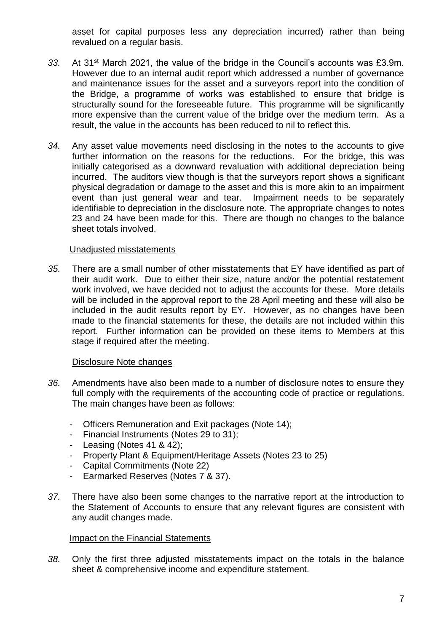asset for capital purposes less any depreciation incurred) rather than being revalued on a regular basis.

- *33.* At 31st March 2021, the value of the bridge in the Council's accounts was £3.9m. However due to an internal audit report which addressed a number of governance and maintenance issues for the asset and a surveyors report into the condition of the Bridge, a programme of works was established to ensure that bridge is structurally sound for the foreseeable future. This programme will be significantly more expensive than the current value of the bridge over the medium term. As a result, the value in the accounts has been reduced to nil to reflect this.
- *34.* Any asset value movements need disclosing in the notes to the accounts to give further information on the reasons for the reductions. For the bridge, this was initially categorised as a downward revaluation with additional depreciation being incurred. The auditors view though is that the surveyors report shows a significant physical degradation or damage to the asset and this is more akin to an impairment event than just general wear and tear. Impairment needs to be separately identifiable to depreciation in the disclosure note. The appropriate changes to notes 23 and 24 have been made for this. There are though no changes to the balance sheet totals involved.

#### Unadjusted misstatements

*35.* There are a small number of other misstatements that EY have identified as part of their audit work. Due to either their size, nature and/or the potential restatement work involved, we have decided not to adjust the accounts for these. More details will be included in the approval report to the 28 April meeting and these will also be included in the audit results report by EY. However, as no changes have been made to the financial statements for these, the details are not included within this report. Further information can be provided on these items to Members at this stage if required after the meeting.

## Disclosure Note changes

- *36.* Amendments have also been made to a number of disclosure notes to ensure they full comply with the requirements of the accounting code of practice or regulations. The main changes have been as follows:
	- Officers Remuneration and Exit packages (Note 14);
	- Financial Instruments (Notes 29 to 31);
	- Leasing (Notes 41 & 42);
	- Property Plant & Equipment/Heritage Assets (Notes 23 to 25)
	- Capital Commitments (Note 22)
	- Earmarked Reserves (Notes 7 & 37).
- *37.* There have also been some changes to the narrative report at the introduction to the Statement of Accounts to ensure that any relevant figures are consistent with any audit changes made.

# **Impact on the Financial Statements**

*38.* Only the first three adjusted misstatements impact on the totals in the balance sheet & comprehensive income and expenditure statement.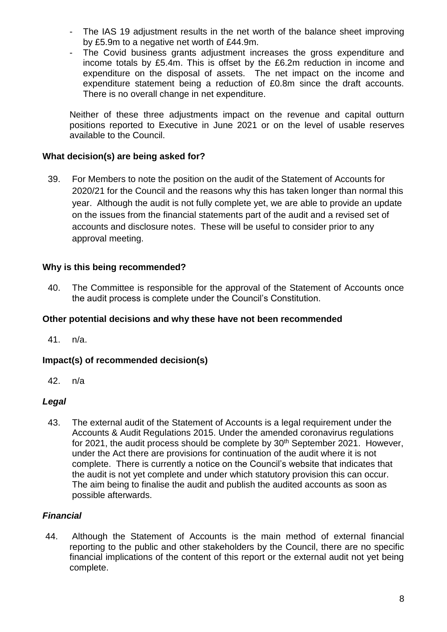- The IAS 19 adjustment results in the net worth of the balance sheet improving by £5.9m to a negative net worth of £44.9m.
- The Covid business grants adjustment increases the gross expenditure and income totals by £5.4m. This is offset by the £6.2m reduction in income and expenditure on the disposal of assets. The net impact on the income and expenditure statement being a reduction of £0.8m since the draft accounts. There is no overall change in net expenditure.

Neither of these three adjustments impact on the revenue and capital outturn positions reported to Executive in June 2021 or on the level of usable reserves available to the Council.

# **What decision(s) are being asked for?**

39. For Members to note the position on the audit of the Statement of Accounts for 2020/21 for the Council and the reasons why this has taken longer than normal this year. Although the audit is not fully complete yet, we are able to provide an update on the issues from the financial statements part of the audit and a revised set of accounts and disclosure notes. These will be useful to consider prior to any approval meeting.

## **Why is this being recommended?**

40. The Committee is responsible for the approval of the Statement of Accounts once the audit process is complete under the Council's Constitution.

## **Other potential decisions and why these have not been recommended**

41. n/a.

# **Impact(s) of recommended decision(s)**

42. n/a

## *Legal*

43. The external audit of the Statement of Accounts is a legal requirement under the Accounts & Audit Regulations 2015. Under the amended coronavirus regulations for 2021, the audit process should be complete by 30<sup>th</sup> September 2021. However, under the Act there are provisions for continuation of the audit where it is not complete. There is currently a notice on the Council's website that indicates that the audit is not yet complete and under which statutory provision this can occur. The aim being to finalise the audit and publish the audited accounts as soon as possible afterwards.

## *Financial*

44. Although the Statement of Accounts is the main method of external financial reporting to the public and other stakeholders by the Council, there are no specific financial implications of the content of this report or the external audit not yet being complete.